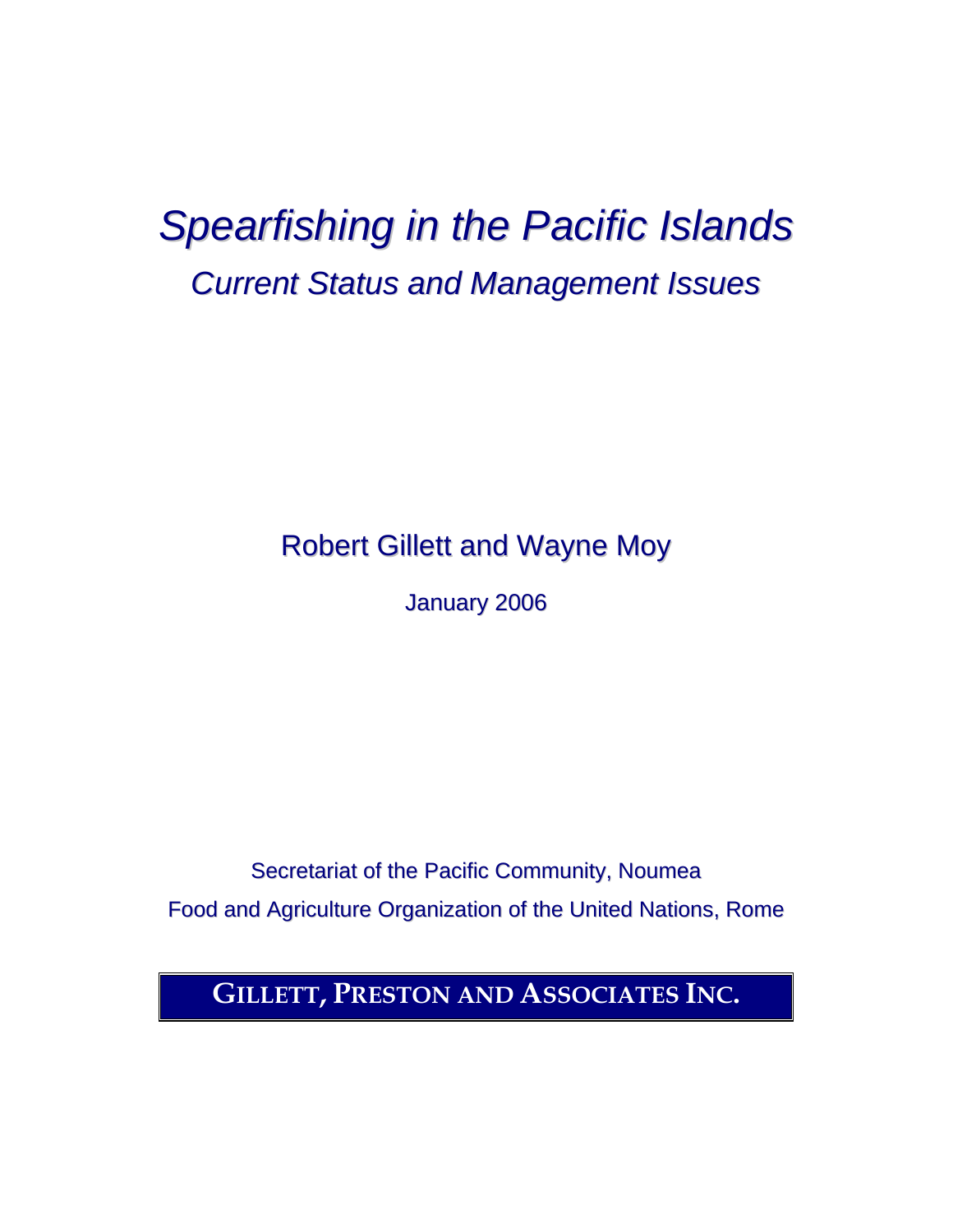## *Spearfishing in the Pacific Islands Current Status and Management Issues*

Robert Gillett and Wayne Moy

January 2006

Secretariat of the Pacific Community, Noumea Food and Agriculture Organization of the United Nations, Rome

**GILLETT, PRESTON AND ASSOCIATES INC.**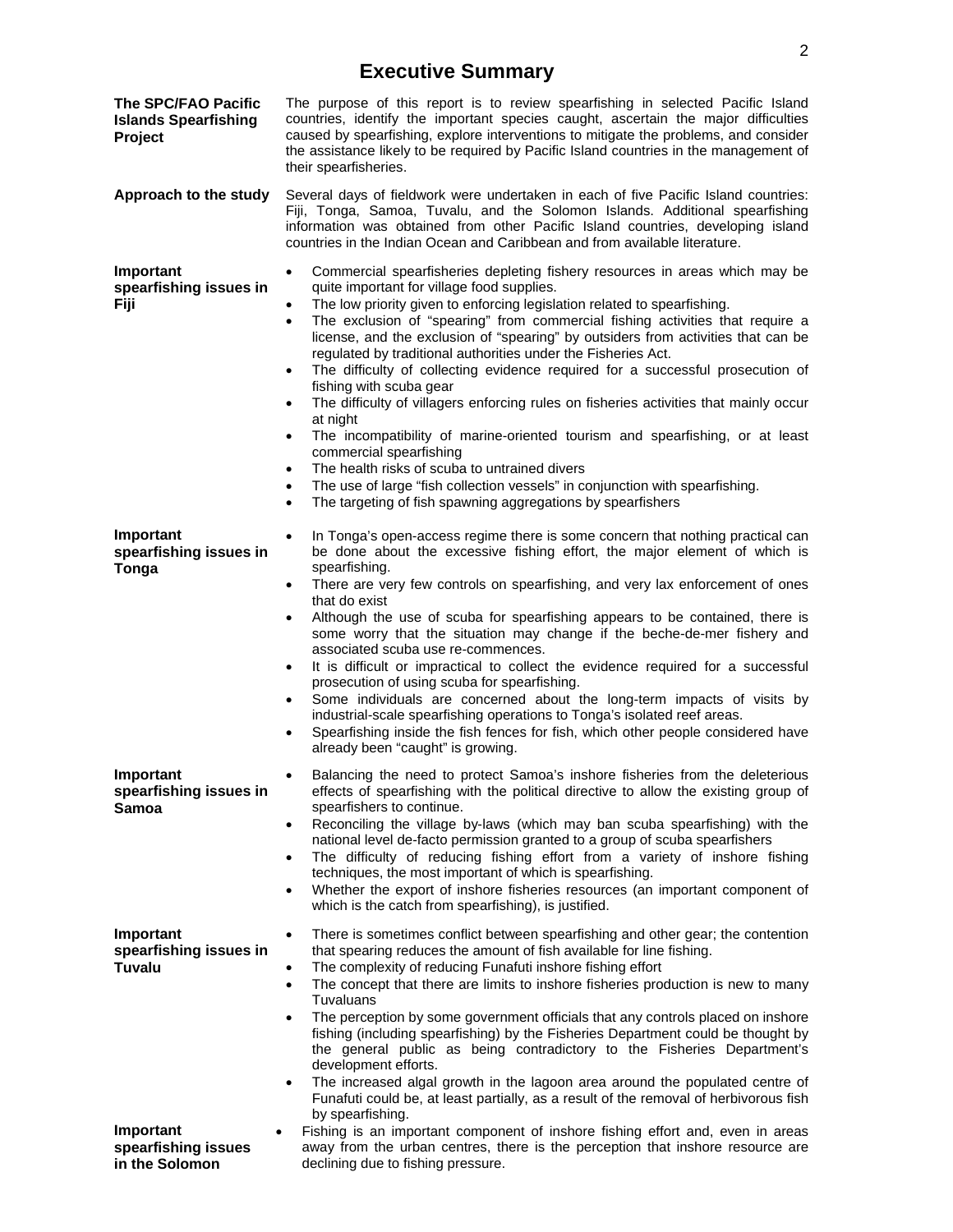## **Executive Summary**

| The SPC/FAO Pacific<br><b>Islands Spearfishing</b><br>Project | The purpose of this report is to review spearfishing in selected Pacific Island<br>countries, identify the important species caught, ascertain the major difficulties<br>caused by spearfishing, explore interventions to mitigate the problems, and consider<br>the assistance likely to be required by Pacific Island countries in the management of<br>their spearfisheries.                                                                                                                                                                                                                                                                                                                                                                                                                                                                                                                                                                                                     |
|---------------------------------------------------------------|-------------------------------------------------------------------------------------------------------------------------------------------------------------------------------------------------------------------------------------------------------------------------------------------------------------------------------------------------------------------------------------------------------------------------------------------------------------------------------------------------------------------------------------------------------------------------------------------------------------------------------------------------------------------------------------------------------------------------------------------------------------------------------------------------------------------------------------------------------------------------------------------------------------------------------------------------------------------------------------|
| Approach to the study                                         | Several days of fieldwork were undertaken in each of five Pacific Island countries:<br>Fiji, Tonga, Samoa, Tuvalu, and the Solomon Islands. Additional spearfishing<br>information was obtained from other Pacific Island countries, developing island<br>countries in the Indian Ocean and Caribbean and from available literature.                                                                                                                                                                                                                                                                                                                                                                                                                                                                                                                                                                                                                                                |
| Important<br>spearfishing issues in<br>Fiji                   | Commercial spearfisheries depleting fishery resources in areas which may be<br>quite important for village food supplies.<br>The low priority given to enforcing legislation related to spearfishing.<br>The exclusion of "spearing" from commercial fishing activities that require a<br>٠<br>license, and the exclusion of "spearing" by outsiders from activities that can be<br>regulated by traditional authorities under the Fisheries Act.<br>The difficulty of collecting evidence required for a successful prosecution of<br>fishing with scuba gear<br>The difficulty of villagers enforcing rules on fisheries activities that mainly occur<br>at night<br>The incompatibility of marine-oriented tourism and spearfishing, or at least<br>commercial spearfishing<br>The health risks of scuba to untrained divers<br>The use of large "fish collection vessels" in conjunction with spearfishing.<br>٠<br>The targeting of fish spawning aggregations by spearfishers |
| Important<br>spearfishing issues in<br>Tonga                  | In Tonga's open-access regime there is some concern that nothing practical can<br>$\bullet$<br>be done about the excessive fishing effort, the major element of which is<br>spearfishing.<br>There are very few controls on spearfishing, and very lax enforcement of ones<br>٠<br>that do exist<br>Although the use of scuba for spearfishing appears to be contained, there is<br>some worry that the situation may change if the beche-de-mer fishery and<br>associated scuba use re-commences.<br>It is difficult or impractical to collect the evidence required for a successful<br>٠<br>prosecution of using scuba for spearfishing.<br>Some individuals are concerned about the long-term impacts of visits by<br>industrial-scale spearfishing operations to Tonga's isolated reef areas.<br>Spearfishing inside the fish fences for fish, which other people considered have<br>٠<br>already been "caught" is growing.                                                    |
| Important<br>spearfishing issues in<br>Samoa                  | Balancing the need to protect Samoa's inshore fisheries from the deleterious<br>$\bullet$<br>effects of spearfishing with the political directive to allow the existing group of<br>spearfishers to continue.<br>Reconciling the village by-laws (which may ban scuba spearfishing) with the<br>$\bullet$<br>national level de-facto permission granted to a group of scuba spearfishers<br>The difficulty of reducing fishing effort from a variety of inshore fishing<br>٠<br>techniques, the most important of which is spearfishing.<br>Whether the export of inshore fisheries resources (an important component of<br>$\bullet$<br>which is the catch from spearfishing), is justified.                                                                                                                                                                                                                                                                                       |
| Important<br>spearfishing issues in<br>Tuvalu<br>Important    | There is sometimes conflict between spearfishing and other gear; the contention<br>$\bullet$<br>that spearing reduces the amount of fish available for line fishing.<br>The complexity of reducing Funafuti inshore fishing effort<br>The concept that there are limits to inshore fisheries production is new to many<br>٠<br>Tuvaluans<br>The perception by some government officials that any controls placed on inshore<br>$\bullet$<br>fishing (including spearfishing) by the Fisheries Department could be thought by<br>the general public as being contradictory to the Fisheries Department's<br>development efforts.<br>The increased algal growth in the lagoon area around the populated centre of<br>Funafuti could be, at least partially, as a result of the removal of herbivorous fish<br>by spearfishing.<br>Fishing is an important component of inshore fishing effort and, even in areas                                                                      |
| spearfishing issues                                           | away from the urban centres, there is the perception that inshore resource are                                                                                                                                                                                                                                                                                                                                                                                                                                                                                                                                                                                                                                                                                                                                                                                                                                                                                                      |
| in the Solomon                                                | declining due to fishing pressure.                                                                                                                                                                                                                                                                                                                                                                                                                                                                                                                                                                                                                                                                                                                                                                                                                                                                                                                                                  |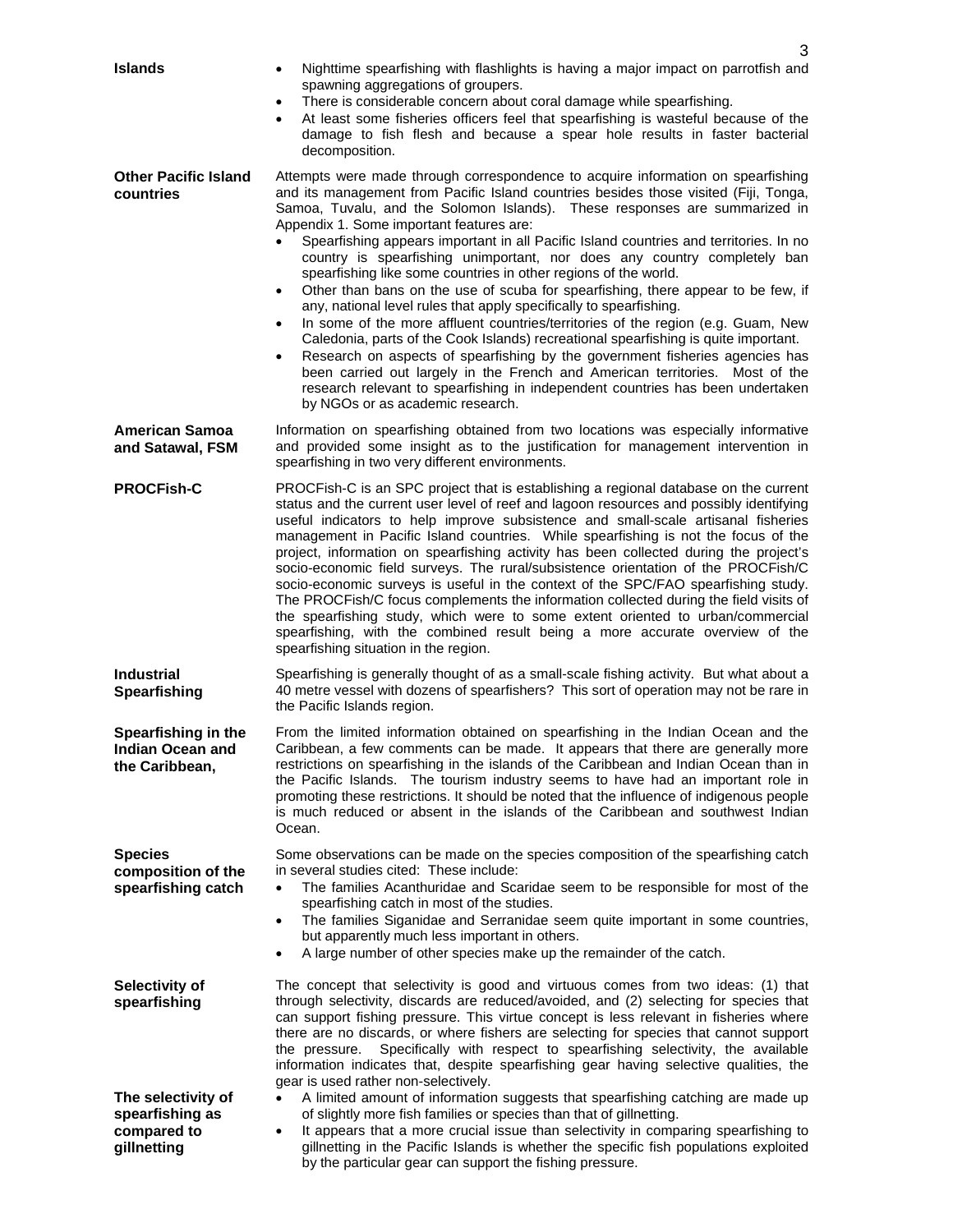| <b>Islands</b>                                                      | Nighttime spearfishing with flashlights is having a major impact on parrotfish and<br>$\bullet$<br>spawning aggregations of groupers.<br>There is considerable concern about coral damage while spearfishing.<br>$\bullet$<br>At least some fisheries officers feel that spearfishing is wasteful because of the<br>$\bullet$<br>damage to fish flesh and because a spear hole results in faster bacterial<br>decomposition.                                                                                                                                                                                                                                                                                                                                                                                                                                                                                                                                                                                                                                                                                                                                                                                 |
|---------------------------------------------------------------------|--------------------------------------------------------------------------------------------------------------------------------------------------------------------------------------------------------------------------------------------------------------------------------------------------------------------------------------------------------------------------------------------------------------------------------------------------------------------------------------------------------------------------------------------------------------------------------------------------------------------------------------------------------------------------------------------------------------------------------------------------------------------------------------------------------------------------------------------------------------------------------------------------------------------------------------------------------------------------------------------------------------------------------------------------------------------------------------------------------------------------------------------------------------------------------------------------------------|
| <b>Other Pacific Island</b><br>countries                            | Attempts were made through correspondence to acquire information on spearfishing<br>and its management from Pacific Island countries besides those visited (Fiji, Tonga,<br>Samoa, Tuvalu, and the Solomon Islands). These responses are summarized in<br>Appendix 1. Some important features are:<br>Spearfishing appears important in all Pacific Island countries and territories. In no<br>country is spearfishing unimportant, nor does any country completely ban<br>spearfishing like some countries in other regions of the world.<br>Other than bans on the use of scuba for spearfishing, there appear to be few, if<br>$\bullet$<br>any, national level rules that apply specifically to spearfishing.<br>In some of the more affluent countries/territories of the region (e.g. Guam, New<br>$\bullet$<br>Caledonia, parts of the Cook Islands) recreational spearfishing is quite important.<br>Research on aspects of spearfishing by the government fisheries agencies has<br>$\bullet$<br>been carried out largely in the French and American territories. Most of the<br>research relevant to spearfishing in independent countries has been undertaken<br>by NGOs or as academic research. |
| <b>American Samoa</b><br>and Satawal, FSM                           | Information on spearfishing obtained from two locations was especially informative<br>and provided some insight as to the justification for management intervention in<br>spearfishing in two very different environments.                                                                                                                                                                                                                                                                                                                                                                                                                                                                                                                                                                                                                                                                                                                                                                                                                                                                                                                                                                                   |
| <b>PROCFish-C</b>                                                   | PROCFish-C is an SPC project that is establishing a regional database on the current<br>status and the current user level of reef and lagoon resources and possibly identifying<br>useful indicators to help improve subsistence and small-scale artisanal fisheries<br>management in Pacific Island countries. While spearfishing is not the focus of the<br>project, information on spearfishing activity has been collected during the project's<br>socio-economic field surveys. The rural/subsistence orientation of the PROCFish/C<br>socio-economic surveys is useful in the context of the SPC/FAO spearfishing study.<br>The PROCFish/C focus complements the information collected during the field visits of<br>the spearfishing study, which were to some extent oriented to urban/commercial<br>spearfishing, with the combined result being a more accurate overview of the<br>spearfishing situation in the region.                                                                                                                                                                                                                                                                           |
| <b>Industrial</b><br>Spearfishing                                   | Spearfishing is generally thought of as a small-scale fishing activity. But what about a<br>40 metre vessel with dozens of spearfishers? This sort of operation may not be rare in<br>the Pacific Islands region.                                                                                                                                                                                                                                                                                                                                                                                                                                                                                                                                                                                                                                                                                                                                                                                                                                                                                                                                                                                            |
| Spearfishing in the<br>Indian Ocean and<br>the Caribbean,           | From the limited information obtained on spearfishing in the Indian Ocean and the<br>Caribbean, a few comments can be made. It appears that there are generally more<br>restrictions on spearfishing in the islands of the Caribbean and Indian Ocean than in<br>the Pacific Islands. The tourism industry seems to have had an important role in<br>promoting these restrictions. It should be noted that the influence of indigenous people<br>is much reduced or absent in the islands of the Caribbean and southwest Indian<br>Ocean.                                                                                                                                                                                                                                                                                                                                                                                                                                                                                                                                                                                                                                                                    |
| <b>Species</b><br>composition of the<br>spearfishing catch          | Some observations can be made on the species composition of the spearfishing catch<br>in several studies cited: These include:<br>The families Acanthuridae and Scaridae seem to be responsible for most of the<br>$\bullet$<br>spearfishing catch in most of the studies.<br>The families Siganidae and Serranidae seem quite important in some countries,<br>$\bullet$<br>but apparently much less important in others.<br>A large number of other species make up the remainder of the catch.<br>$\bullet$                                                                                                                                                                                                                                                                                                                                                                                                                                                                                                                                                                                                                                                                                                |
| Selectivity of<br>spearfishing                                      | The concept that selectivity is good and virtuous comes from two ideas: (1) that<br>through selectivity, discards are reduced/avoided, and (2) selecting for species that<br>can support fishing pressure. This virtue concept is less relevant in fisheries where<br>there are no discards, or where fishers are selecting for species that cannot support<br>Specifically with respect to spearfishing selectivity, the available<br>the pressure.<br>information indicates that, despite spearfishing gear having selective qualities, the<br>gear is used rather non-selectively.                                                                                                                                                                                                                                                                                                                                                                                                                                                                                                                                                                                                                        |
| The selectivity of<br>spearfishing as<br>compared to<br>gillnetting | A limited amount of information suggests that spearfishing catching are made up<br>of slightly more fish families or species than that of gillnetting.<br>It appears that a more crucial issue than selectivity in comparing spearfishing to<br>$\bullet$<br>gillnetting in the Pacific Islands is whether the specific fish populations exploited<br>by the particular gear can support the fishing pressure.                                                                                                                                                                                                                                                                                                                                                                                                                                                                                                                                                                                                                                                                                                                                                                                               |

3